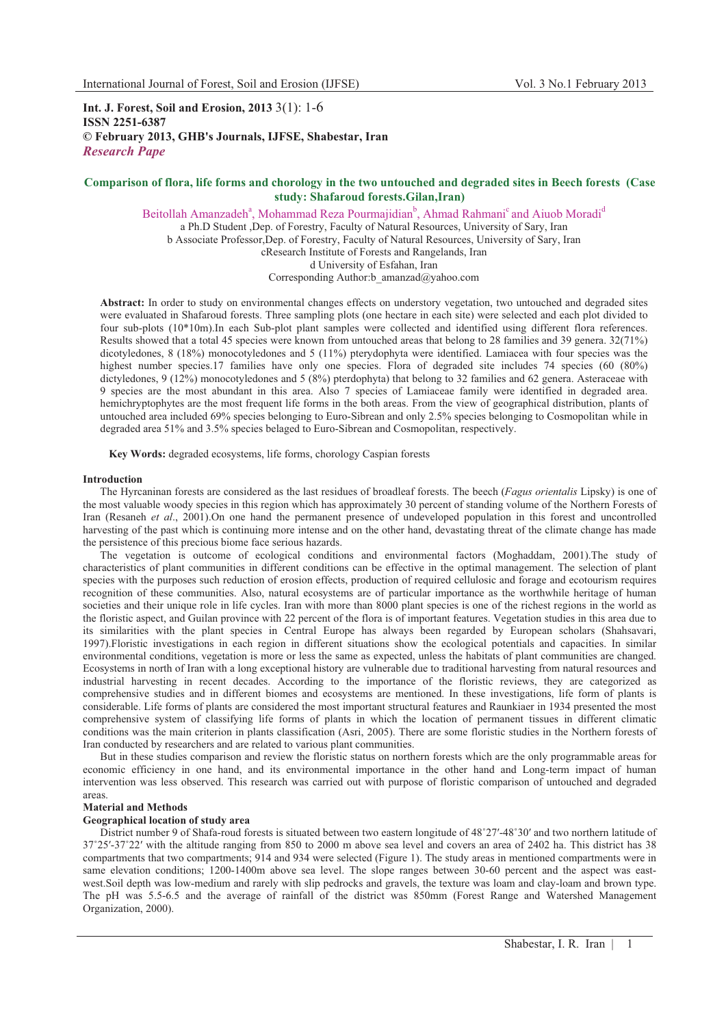**Int. J. Forest, Soil and Erosion, 2013** 3(1): 1-6 **ISSN 2251-6387 © February 2013, GHB's Journals, IJFSE, Shabestar, Iran** *Research Pape* 

# **Comparison of flora, life forms and chorology in the two untouched and degraded sites in Beech forests (Case study: Shafaroud forests.Gilan,Iran)**

Beitollah Amanzadeh<sup>a</sup>, Mohammad Reza Pourmajidian<sup>b</sup>, Ahmad Rahmani<sup>c</sup> and Aiuob Moradi<sup>d</sup> a Ph.D Student ,Dep. of Forestry, Faculty of Natural Resources, University of Sary, Iran b Associate Professor,Dep. of Forestry, Faculty of Natural Resources, University of Sary, Iran cResearch Institute of Forests and Rangelands, Iran d University of Esfahan, Iran Corresponding Author:b\_amanzad@yahoo.com

**Abstract:** In order to study on environmental changes effects on understory vegetation, two untouched and degraded sites were evaluated in Shafaroud forests. Three sampling plots (one hectare in each site) were selected and each plot divided to four sub-plots (10\*10m).In each Sub-plot plant samples were collected and identified using different flora references. Results showed that a total 45 species were known from untouched areas that belong to 28 families and 39 genera. 32(71%) dicotyledones, 8 (18%) monocotyledones and 5 (11%) pterydophyta were identified. Lamiacea with four species was the highest number species.17 families have only one species. Flora of degraded site includes 74 species (60 (80%) dictyledones, 9 (12%) monocotyledones and 5 (8%) pterdophyta) that belong to 32 families and 62 genera. Asteraceae with 9 species are the most abundant in this area. Also 7 species of Lamiaceae family were identified in degraded area. hemichryptophytes are the most frequent life forms in the both areas. From the view of geographical distribution, plants of untouched area included 69% species belonging to Euro-Sibrean and only 2.5% species belonging to Cosmopolitan while in degraded area 51% and 3.5% species belaged to Euro-Sibrean and Cosmopolitan, respectively.

**Key Words:** degraded ecosystems, life forms, chorology Caspian forests

#### **Introduction**

The Hyrcaninan forests are considered as the last residues of broadleaf forests. The beech (*Fagus orientalis* Lipsky) is one of the most valuable woody species in this region which has approximately 30 percent of standing volume of the Northern Forests of Iran (Resaneh *et al*., 2001).On one hand the permanent presence of undeveloped population in this forest and uncontrolled harvesting of the past which is continuing more intense and on the other hand, devastating threat of the climate change has made the persistence of this precious biome face serious hazards.

The vegetation is outcome of ecological conditions and environmental factors (Moghaddam, 2001).The study of characteristics of plant communities in different conditions can be effective in the optimal management. The selection of plant species with the purposes such reduction of erosion effects, production of required cellulosic and forage and ecotourism requires recognition of these communities. Also, natural ecosystems are of particular importance as the worthwhile heritage of human societies and their unique role in life cycles. Iran with more than 8000 plant species is one of the richest regions in the world as the floristic aspect, and Guilan province with 22 percent of the flora is of important features. Vegetation studies in this area due to its similarities with the plant species in Central Europe has always been regarded by European scholars (Shahsavari, 1997).Floristic investigations in each region in different situations show the ecological potentials and capacities. In similar environmental conditions, vegetation is more or less the same as expected, unless the habitats of plant communities are changed. Ecosystems in north of Iran with a long exceptional history are vulnerable due to traditional harvesting from natural resources and industrial harvesting in recent decades. According to the importance of the floristic reviews, they are categorized as comprehensive studies and in different biomes and ecosystems are mentioned. In these investigations, life form of plants is considerable. Life forms of plants are considered the most important structural features and Raunkiaer in 1934 presented the most comprehensive system of classifying life forms of plants in which the location of permanent tissues in different climatic conditions was the main criterion in plants classification (Asri, 2005). There are some floristic studies in the Northern forests of Iran conducted by researchers and are related to various plant communities.

But in these studies comparison and review the floristic status on northern forests which are the only programmable areas for economic efficiency in one hand, and its environmental importance in the other hand and Long-term impact of human intervention was less observed. This research was carried out with purpose of floristic comparison of untouched and degraded areas.

#### **Material and Methods**

### **Geographical location of study area**

District number 9 of Shafa-roud forests is situated between two eastern longitude of 48°27'-48°30' and two northern latitude of 37-25-37-22 with the altitude ranging from 850 to 2000 m above sea level and covers an area of 2402 ha. This district has 38 compartments that two compartments; 914 and 934 were selected (Figure 1). The study areas in mentioned compartments were in same elevation conditions; 1200-1400m above sea level. The slope ranges between 30-60 percent and the aspect was eastwest.Soil depth was low-medium and rarely with slip pedrocks and gravels, the texture was loam and clay-loam and brown type. The pH was 5.5-6.5 and the average of rainfall of the district was 850mm (Forest Range and Watershed Management Organization, 2000).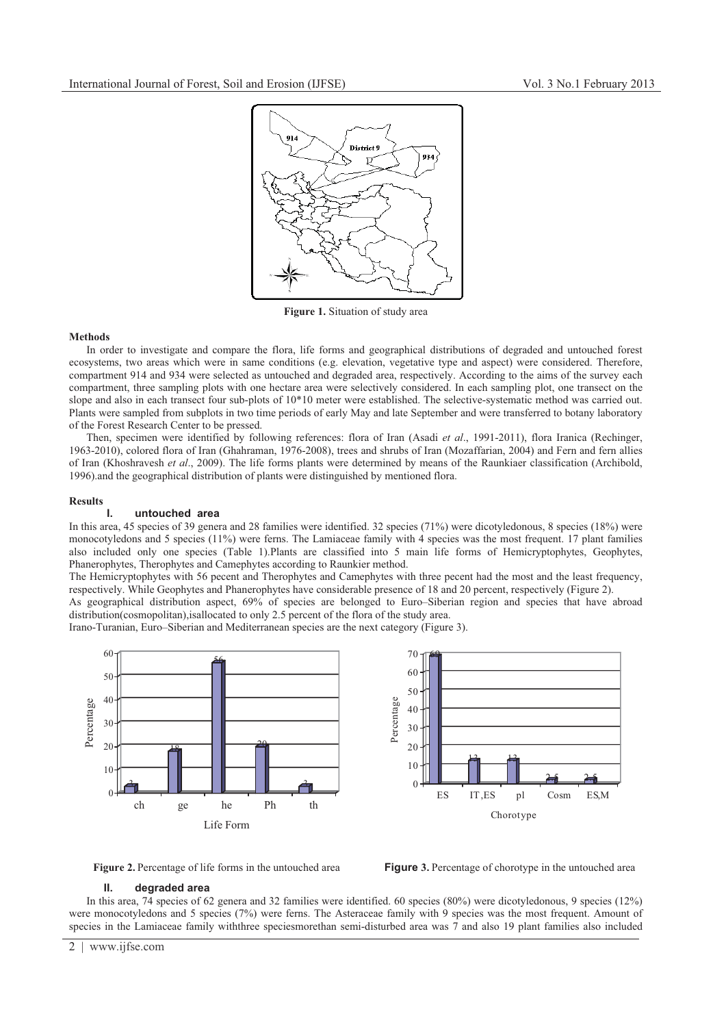

**Figure 1.** Situation of study area

# **Methods**

In order to investigate and compare the flora, life forms and geographical distributions of degraded and untouched forest ecosystems, two areas which were in same conditions (e.g. elevation, vegetative type and aspect) were considered. Therefore, compartment 914 and 934 were selected as untouched and degraded area, respectively. According to the aims of the survey each compartment, three sampling plots with one hectare area were selectively considered. In each sampling plot, one transect on the slope and also in each transect four sub-plots of 10\*10 meter were established. The selective-systematic method was carried out. Plants were sampled from subplots in two time periods of early May and late September and were transferred to botany laboratory of the Forest Research Center to be pressed.

Then, specimen were identified by following references: flora of Iran (Asadi *et al*., 1991-2011), flora Iranica (Rechinger, 1963-2010), colored flora of Iran (Ghahraman, 1976-2008), trees and shrubs of Iran (Mozaffarian, 2004) and Fern and fern allies of Iran (Khoshravesh *et al*., 2009). The life forms plants were determined by means of the Raunkiaer classification (Archibold, 1996).and the geographical distribution of plants were distinguished by mentioned flora.

# **Results**

### **I. untouched area**

In this area, 45 species of 39 genera and 28 families were identified. 32 species (71%) were dicotyledonous, 8 species (18%) were monocotyledons and 5 species (11%) were ferns. The Lamiaceae family with 4 species was the most frequent. 17 plant families also included only one species (Table 1).Plants are classified into 5 main life forms of Hemicryptophytes, Geophytes, Phanerophytes, Therophytes and Camephytes according to Raunkier method.

The Hemicryptophytes with 56 pecent and Therophytes and Camephytes with three pecent had the most and the least frequency, respectively. While Geophytes and Phanerophytes have considerable presence of 18 and 20 percent, respectively (Figure 2).

As geographical distribution aspect, 69% of species are belonged to Euro–Siberian region and species that have abroad distribution(cosmopolitan),isallocated to only 2.5 percent of the flora of the study area.

Irano-Turanian, Euro–Siberian and Mediterranean species are the next category (Figure 3).





# **II. degraded area**

In this area, 74 species of 62 genera and 32 families were identified. 60 species (80%) were dicotyledonous, 9 species (12%) were monocotyledons and 5 species (7%) were ferns. The Asteraceae family with 9 species was the most frequent. Amount of species in the Lamiaceae family withthree speciesmorethan semi-disturbed area was 7 and also 19 plant families also included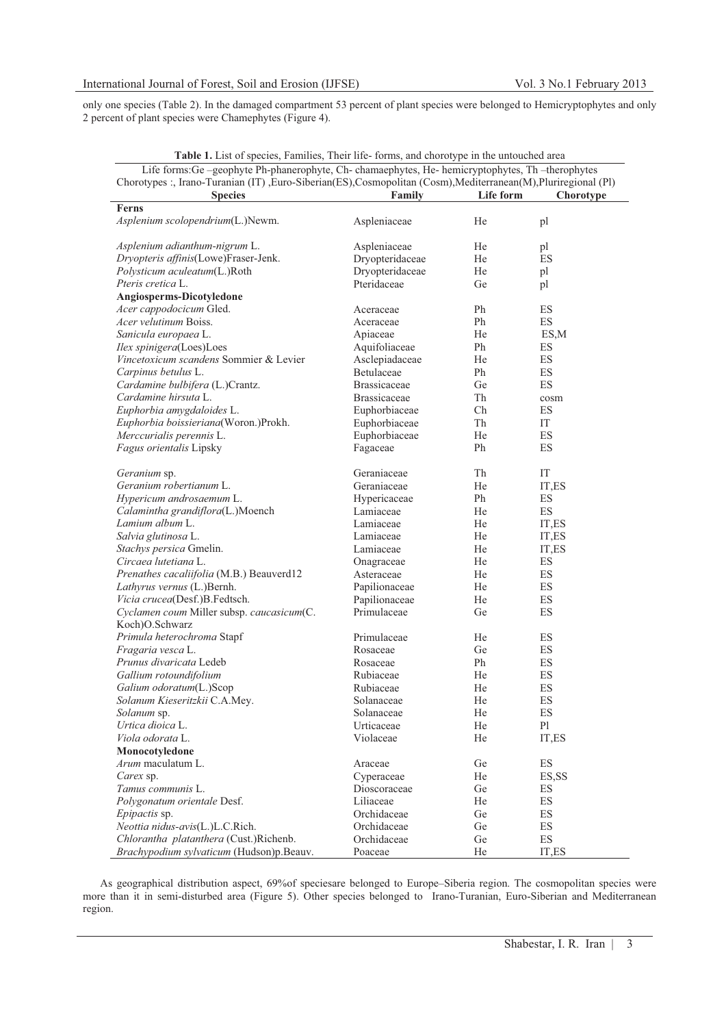only one species (Table 2). In the damaged compartment 53 percent of plant species were belonged to Hemicryptophytes and only 2 percent of plant species were Chamephytes (Figure 4).

| Table 1. List of species, Families, Their life-forms, and chorotype in the untouched area                        |                     |           |           |  |
|------------------------------------------------------------------------------------------------------------------|---------------------|-----------|-----------|--|
| Life forms: Ge -geophyte Ph-phanerophyte, Ch-chamaephytes, He-hemicryptophytes, Th -therophytes                  |                     |           |           |  |
| Chorotypes :, Irano-Turanian (IT) , Euro-Siberian(ES), Cosmopolitan (Cosm), Mediterranean(M), Pluriregional (Pl) |                     |           |           |  |
| <b>Species</b>                                                                                                   | Family              | Life form | Chorotype |  |
| Ferns                                                                                                            |                     |           |           |  |
| Asplenium scolopendrium(L.)Newm.                                                                                 | Aspleniaceae        | He        | pl        |  |
| Asplenium adianthum-nigrum L.                                                                                    | Aspleniaceae        | He        | pl        |  |
| Dryopteris affinis(Lowe)Fraser-Jenk.                                                                             | Dryopteridaceae     | He        | ES        |  |
| Polysticum aculeatum(L.)Roth                                                                                     | Dryopteridaceae     | He        | pl        |  |
| Pteris cretica L.                                                                                                | Pteridaceae         | Ge        | pl        |  |
| Angiosperms-Dicotyledone                                                                                         |                     |           |           |  |
| Acer cappodocicum Gled.                                                                                          | Aceraceae           | Ph        | ES        |  |
| <i>Acer velutinum</i> Boiss.                                                                                     | Aceraceae           | Ph        | ES        |  |
| Sanicula europaea L.                                                                                             | Apiaceae            | He        | ES,M      |  |
| Ilex spinigera(Loes)Loes                                                                                         | Aquifoliaceae       | Ph        | ES        |  |
| Vincetoxicum scandens Sommier & Levier                                                                           | Asclepiadaceae      | He        | ES        |  |
| Carpinus betulus L.                                                                                              | Betulaceae          | Ph        | ES        |  |
|                                                                                                                  |                     |           |           |  |
| Cardamine bulbifera (L.)Crantz.                                                                                  | <b>Brassicaceae</b> | Ge        | ES        |  |
| Cardamine hirsuta L.                                                                                             | <b>Brassicaceae</b> | Th        | cosm      |  |
| Euphorbia amygdaloides L.                                                                                        | Euphorbiaceae       | Ch        | ES        |  |
| Euphorbia boissieriana(Woron.)Prokh.                                                                             | Euphorbiaceae       | Th        | IT        |  |
| Merccurialis perennis L.                                                                                         | Euphorbiaceae       | He        | ES        |  |
| Fagus orientalis Lipsky                                                                                          | Fagaceae            | Ph        | ES        |  |
| Geranium sp.                                                                                                     | Geraniaceae         | Th        | IT        |  |
| Geranium robertianum L.                                                                                          | Geraniaceae         | He        | IT,ES     |  |
| Hypericum androsaemum L.                                                                                         | Hypericaceae        | Ph        | ES        |  |
| Calamintha grandiflora(L.)Moench                                                                                 | Lamiaceae           | He        | ES        |  |
| Lamium album L.                                                                                                  | Lamiaceae           | He        | IT,ES     |  |
| Salvia glutinosa L.                                                                                              | Lamiaceae           | He        | IT,ES     |  |
| Stachys persica Gmelin.                                                                                          | Lamiaceae           | He        | IT,ES     |  |
| Circaea lutetiana L.                                                                                             | Onagraceae          | He        | ES        |  |
| Prenathes cacaliifolia (M.B.) Beauverd12                                                                         | Asteraceae          | He        | ES        |  |
| Lathyrus vernus (L.)Bernh.                                                                                       | Papilionaceae       | He        | ES        |  |
| Vicia crucea(Desf.)B.Fedtsch.                                                                                    | Papilionaceae       | He        | ES        |  |
| Cyclamen coum Miller subsp. caucasicum(C.                                                                        | Primulaceae         | Ge        | ES        |  |
| Koch)O.Schwarz                                                                                                   |                     |           |           |  |
| Primula heterochroma Stapf                                                                                       | Primulaceae         | He        | ES        |  |
| Fragaria vesca L.                                                                                                | Rosaceae            | Ge        | ES        |  |
| Prunus divaricata Ledeb                                                                                          | Rosaceae            | Ph        | ES        |  |
| Gallium rotoundifolium                                                                                           | Rubiaceae           | He        | ES        |  |
| Galium odoratum(L.)Scop                                                                                          | Rubiaceae           | He        | ES        |  |
| Solanum Kieseritzkii C.A.Mey.                                                                                    | Solanaceae          | He        | ES        |  |
| Solanum sp.                                                                                                      | Solanaceae          | He        | ES        |  |
| Urtica dioica L.                                                                                                 | Urticaceae          | He        | P1        |  |
| Viola odorata L.                                                                                                 | Violaceae           | He        | IT,ES     |  |
| Monocotyledone                                                                                                   |                     |           |           |  |
| Arum maculatum L.                                                                                                | Araceae             | Ge        | ES        |  |
| Carex sp.                                                                                                        | Cyperaceae          | He        | ES, SS    |  |
| Tamus communis L.                                                                                                | Dioscoraceae        | Ge        | ES        |  |
| Polygonatum orientale Desf.                                                                                      | Liliaceae           | He        | ES        |  |
| Epipactis sp.                                                                                                    | Orchidaceae         | Ge        | ES        |  |
| Neottia nidus-avis(L.)L.C.Rich.                                                                                  | Orchidaceae         | Ge        | ES        |  |
| Chlorantha platanthera (Cust.)Richenb.                                                                           | Orchidaceae         | Ge        | ES        |  |
| Brachypodium sylvaticum (Hudson)p.Beauv.                                                                         | Poaceae             | He        | IT,ES     |  |
|                                                                                                                  |                     |           |           |  |

As geographical distribution aspect, 69%of speciesare belonged to Europe–Siberia region. The cosmopolitan species were more than it in semi-disturbed area (Figure 5). Other species belonged to Irano-Turanian, Euro-Siberian and Mediterranean region.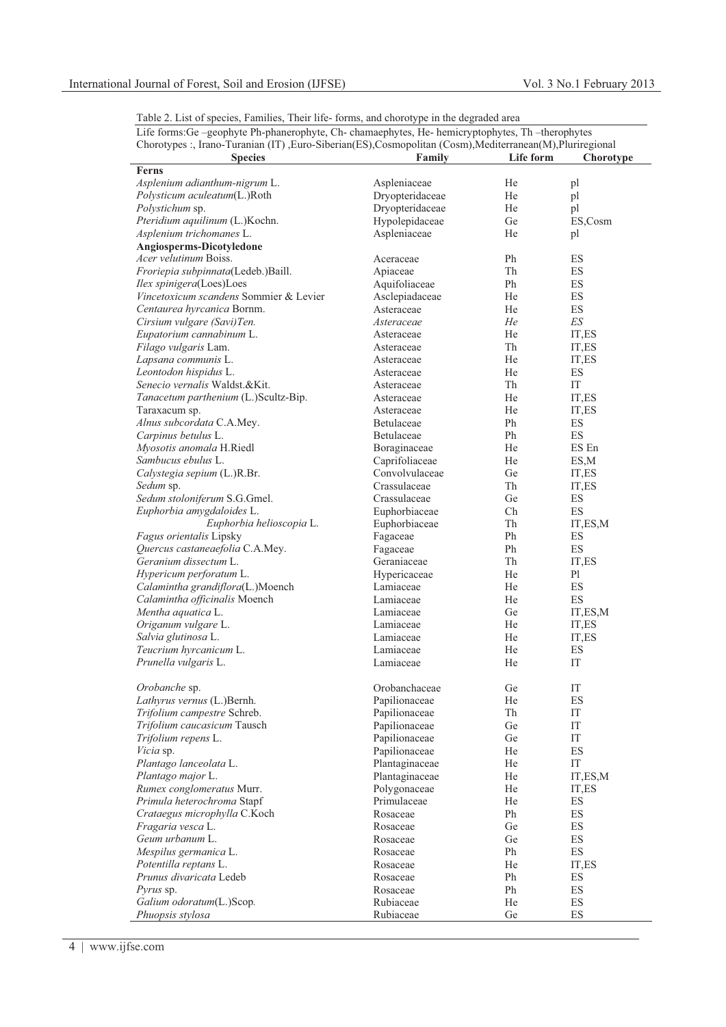| Table 2. List of species, Families, Their life-forms, and chorotype in the degraded area |  |
|------------------------------------------------------------------------------------------|--|
|------------------------------------------------------------------------------------------|--|

| Life forms: Ge -geophyte Ph-phanerophyte, Ch- chamaephytes, He- hemicryptophytes, Th -therophytes          |                                |           |                          |
|------------------------------------------------------------------------------------------------------------|--------------------------------|-----------|--------------------------|
| Chorotypes :, Irano-Turanian (IT), Euro-Siberian(ES), Cosmopolitan (Cosm), Mediterranean(M), Pluriregional |                                |           |                          |
| <b>Species</b>                                                                                             | Family                         | Life form | Chorotype                |
| Ferns                                                                                                      |                                |           |                          |
| Asplenium adianthum-nigrum L.                                                                              | Aspleniaceae                   | He        | pl                       |
| Polysticum aculeatum(L.)Roth                                                                               | Dryopteridaceae                | He        | pl                       |
| Polystichum sp.                                                                                            | Dryopteridaceae                | He        | pl                       |
| Pteridium aquilinum (L.)Kochn.                                                                             | Hypolepidaceae                 | Ge        | ES,Cosm                  |
| Asplenium trichomanes L.                                                                                   | Aspleniaceae                   | He        | pl                       |
| Angiosperms-Dicotyledone                                                                                   |                                |           |                          |
| <i>Acer velutinum</i> Boiss.                                                                               | Aceraceae                      | Ph        | ES                       |
| Froriepia subpinnata(Ledeb.)Baill.                                                                         | Apiaceae                       | Th        | ES                       |
| Ilex spinigera(Loes)Loes                                                                                   | Aquifoliaceae                  | Ph        | ES                       |
| Vincetoxicum scandens Sommier & Levier                                                                     | Asclepiadaceae                 | He        | ES                       |
| Centaurea hyrcanica Bornm.                                                                                 | Asteraceae                     | He        | ES                       |
| Cirsium vulgare (Savi)Ten.                                                                                 | Asteraceae                     | He        | $E\mathcal{S}$           |
| Eupatorium cannabinum L.                                                                                   | Asteraceae                     | He        | IT,ES                    |
| Filago vulgaris Lam.                                                                                       | Asteraceae                     | Th        | IT,ES                    |
| Lapsana communis L.                                                                                        | Asteraceae                     | He        | IT,ES                    |
| Leontodon hispidus L.                                                                                      | Asteraceae                     | He        | ES                       |
| Senecio vernalis Waldst.&Kit.                                                                              | Asteraceae                     | Th        | IT                       |
| Tanacetum parthenium (L.)Scultz-Bip.                                                                       | Asteraceae                     | He        | IT,ES                    |
| Taraxacum sp.                                                                                              | Asteraceae                     | He        | IT,ES                    |
| Alnus subcordata C.A.Mey.                                                                                  | Betulaceae                     | Ph        | ES                       |
| Carpinus betulus L.                                                                                        | Betulaceae                     | Ph        | ES                       |
| Myosotis anomala H.Riedl                                                                                   | Boraginaceae                   | He        | ES En                    |
| Sambucus ebulus L.                                                                                         | Caprifoliaceae                 | He        | ES,M                     |
| Calystegia sepium (L.)R.Br.                                                                                | Convolvulaceae                 | Ge        | IT.ES                    |
| Sedum sp.                                                                                                  | Crassulaceae                   | Th        | IT,ES                    |
| Sedum stoloniferum S.G.Gmel.                                                                               | Crassulaceae                   | Ge        | ES                       |
| Euphorbia amygdaloides L.                                                                                  | Euphorbiaceae                  | Ch        | ES                       |
| Euphorbia helioscopia L.                                                                                   | Euphorbiaceae                  | Th        | IT,ES,M                  |
| Fagus orientalis Lipsky                                                                                    | Fagaceae                       | Ph        | ES                       |
| Quercus castaneaefolia C.A.Mey.                                                                            | Fagaceae                       | Ph        | ES                       |
| Geranium dissectum L.                                                                                      | Geraniaceae                    | Th        | IT,ES                    |
| Hypericum perforatum L.                                                                                    | Hypericaceae                   | He        | P <sub>1</sub>           |
| Calamintha grandiflora(L.)Moench                                                                           | Lamiaceae                      | He        | ES                       |
| Calamintha officinalis Moench                                                                              | Lamiaceae                      | He        | ES                       |
| Mentha aquatica L.                                                                                         | Lamiaceae                      | Ge        | IT, ES, M                |
| Origanum vulgare L.                                                                                        | Lamiaceae                      | He        | IT,ES                    |
| Salvia glutinosa L.                                                                                        | Lamiaceae                      | He        | IT,ES                    |
| Teucrium hyrcanicum L.                                                                                     | Lamiaceae                      | He        | ES                       |
|                                                                                                            | Lamiaceae                      | He        | IT                       |
| Prunella vulgaris L.                                                                                       |                                |           |                          |
|                                                                                                            | Orobanchaceae                  | Ge        | IT                       |
| Orobanche sp.<br>Lathyrus vernus (L.)Bernh.                                                                |                                | He        | ES                       |
| Trifolium campestre Schreb.                                                                                | Papilionaceae<br>Papilionaceae | Th        | IT                       |
|                                                                                                            |                                |           |                          |
| Trifolium caucasicum Tausch                                                                                | Papilionaceae                  | Ge        | IT                       |
| Trifolium repens L.                                                                                        | Papilionaceae                  | Ge<br>He  | IT                       |
| Vicia sp.                                                                                                  | Papilionaceae                  |           | ES                       |
| Plantago lanceolata L.                                                                                     | Plantaginaceae                 | He        | IT                       |
| Plantago major L.                                                                                          | Plantaginaceae                 | He        | IT,ES,M                  |
| Rumex conglomeratus Murr.                                                                                  | Polygonaceae                   | He        | IT,ES                    |
| Primula heterochroma Stapf                                                                                 | Primulaceae                    | He        | ES                       |
| Crataegus microphylla C.Koch                                                                               | Rosaceae                       | Ph        | ES                       |
| Fragaria vesca L.                                                                                          | Rosaceae                       | Ge        | ES                       |
| Geum urbanum L.                                                                                            | Rosaceae                       | Ge        | ES                       |
| Mespilus germanica L.                                                                                      | Rosaceae                       | Ph        | ES                       |
| Potentilla reptans L.                                                                                      | Rosaceae                       | He        | IT,ES                    |
| Prunus divaricata Ledeb                                                                                    | Rosaceae                       | Ph        | ES                       |
| <i>Pyrus</i> sp.                                                                                           | Rosaceae                       | Ph        | ES                       |
| Galium odoratum(L.)Scop.                                                                                   | Rubiaceae                      | He        | ES                       |
| Phuopsis stylosa                                                                                           | Rubiaceae                      | Ge        | $\mathop{\hbox{\rm ES}}$ |

Life forms:Ge –geophyte Ph-phanerophyte, Ch- chamaephytes, He- hemicryptophytes, Th –therophytes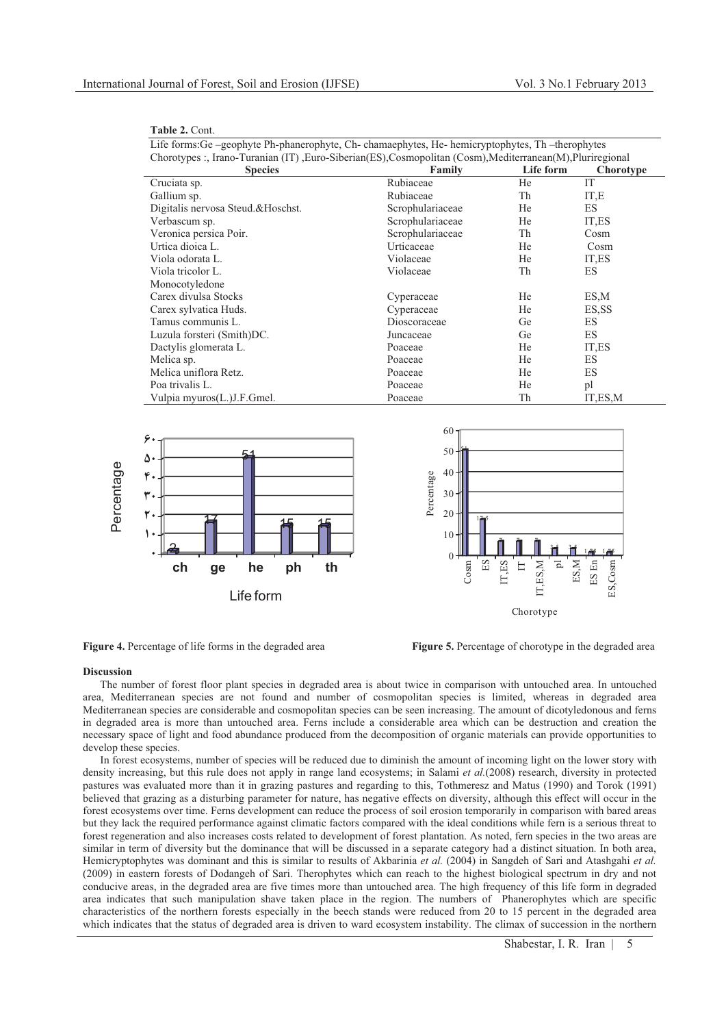| Table 2. Cont. |  |  |
|----------------|--|--|
|----------------|--|--|

Life forms:Ge –geophyte Ph-phanerophyte, Ch- chamaephytes, He- hemicryptophytes, Th –therophytes Chorotypes :, Irano-Turanian (IT) ,Euro-Siberian(ES),Cosmopolitan (Cosm),Mediterranean(M),Pluriregional

| <b>Species</b>                    | $\overline{\phantom{a}}$<br>Family | Life form | Chorotype |
|-----------------------------------|------------------------------------|-----------|-----------|
| Cruciata sp.                      | Rubiaceae                          | He        | IT        |
| Gallium sp.                       | Rubiaceae                          | Th        | IT,E      |
| Digitalis nervosa Steud.&Hoschst. | Scrophulariaceae                   | He        | ES        |
| Verbascum sp.                     | Scrophulariaceae                   | He        | IT,ES     |
| Veronica persica Poir.            | Scrophulariaceae                   | Th        | Cosm      |
| Urtica dioica L.                  | Urticaceae                         | He        | Cosm      |
| Viola odorata L.                  | Violaceae                          | He        | IT.ES     |
| Viola tricolor L.                 | Violaceae                          | Th        | ES        |
| Monocotyledone                    |                                    |           |           |
| Carex divulsa Stocks              | Cyperaceae                         | He        | ES,M      |
| Carex sylvatica Huds.             | Cyperaceae                         | He        | ES, SS    |
| Tamus communis L.                 | Dioscoraceae                       | Ge        | ES        |
| Luzula forsteri (Smith)DC.        | Juncaceae                          | Ge        | ES        |
| Dactylis glomerata L.             | Poaceae                            | He        | IT,ES     |
| Melica sp.                        | Poaceae                            | He        | ES        |
| Melica uniflora Retz.             | Poaceae                            | He        | ES        |
| Poa trivalis L.                   | Poaceae                            | He        | pl        |
| Vulpia myuros(L.)J.F.Gmel.        | Poaceae                            | Th        | IT, ES, M |





**Figure 4.** Percentage of life forms in the degraded area **Figure 5.** Percentage of chorotype in the degraded area

### **Discussion**

The number of forest floor plant species in degraded area is about twice in comparison with untouched area. In untouched area, Mediterranean species are not found and number of cosmopolitan species is limited, whereas in degraded area Mediterranean species are considerable and cosmopolitan species can be seen increasing. The amount of dicotyledonous and ferns in degraded area is more than untouched area. Ferns include a considerable area which can be destruction and creation the necessary space of light and food abundance produced from the decomposition of organic materials can provide opportunities to develop these species.

In forest ecosystems, number of species will be reduced due to diminish the amount of incoming light on the lower story with density increasing, but this rule does not apply in range land ecosystems; in Salami *et al.*(2008) research, diversity in protected pastures was evaluated more than it in grazing pastures and regarding to this, Tothmeresz and Matus (1990) and Torok (1991) believed that grazing as a disturbing parameter for nature, has negative effects on diversity, although this effect will occur in the forest ecosystems over time. Ferns development can reduce the process of soil erosion temporarily in comparison with bared areas but they lack the required performance against climatic factors compared with the ideal conditions while fern is a serious threat to forest regeneration and also increases costs related to development of forest plantation. As noted, fern species in the two areas are similar in term of diversity but the dominance that will be discussed in a separate category had a distinct situation. In both area, Hemicryptophytes was dominant and this is similar to results of Akbarinia *et al.* (2004) in Sangdeh of Sari and Atashgahi *et al.* (2009) in eastern forests of Dodangeh of Sari. Therophytes which can reach to the highest biological spectrum in dry and not conducive areas, in the degraded area are five times more than untouched area. The high frequency of this life form in degraded area indicates that such manipulation shave taken place in the region. The numbers of Phanerophytes which are specific characteristics of the northern forests especially in the beech stands were reduced from 20 to 15 percent in the degraded area which indicates that the status of degraded area is driven to ward ecosystem instability. The climax of succession in the northern